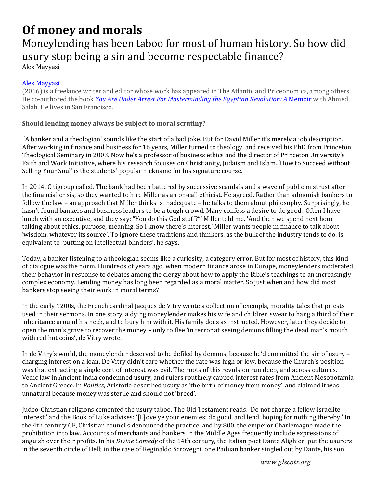## **Of money and morals**

## Moneylending has been taboo for most of human history. So how did usury stop being a sin and become respectable finance?

Alex Mayyasi 

## Alex Mayyasi

(2016) is a freelance writer and editor whose work has appeared in The Atlantic and Priceonomics, among others. He co‐authored the book *You Are Under Arrest For Masterminding the Egyptian Revolution: A* Memoir with Ahmed Salah. He lives in San Francisco.

## **Should lending money always be subject to moral scrutiny?**

'A banker and a theologian' sounds like the start of a bad joke. But for David Miller it's merely a job description. After working in finance and business for 16 years, Miller turned to theology, and received his PhD from Princeton Theological Seminary in 2003. Now he's a professor of business ethics and the director of Princeton University's Faith and Work Initiative, where his research focuses on Christianity, Judaism and Islam. 'How to Succeed without Selling Your Soul' is the students' popular nickname for his signature course.

In 2014, Citigroup called. The bank had been battered by successive scandals and a wave of public mistrust after the financial crisis, so they wanted to hire Miller as an on-call ethicist. He agreed. Rather than admonish bankers to follow the law – an approach that Miller thinks is inadequate – he talks to them about philosophy. Surprisingly, he hasn't found bankers and business leaders to be a tough crowd. Many confess a desire to do good. 'Often I have lunch with an executive, and they say: "You do this God stuff?"' Miller told me. 'And then we spend next hour talking about ethics, purpose, meaning. So I know there's interest.' Miller wants people in finance to talk about 'wisdom, whatever its source'. To ignore these traditions and thinkers, as the bulk of the industry tends to do, is equivalent to 'putting on intellectual blinders', he says.

Today, a banker listening to a theologian seems like a curiosity, a category error. But for most of history, this kind of dialogue was the norm. Hundreds of years ago, when modern finance arose in Europe, moneylenders moderated their behavior in response to debates among the clergy about how to apply the Bible's teachings to an increasingly complex economy. Lending money has long been regarded as a moral matter. So just when and how did most bankers stop seeing their work in moral terms?

In the early 1200s, the French cardinal Jacques de Vitry wrote a collection of exempla, morality tales that priests used in their sermons. In one story, a dying moneylender makes his wife and children swear to hang a third of their inheritance around his neck, and to bury him with it. His family does as instructed. However, later they decide to open the man's grave to recover the money – only to flee 'in terror at seeing demons filling the dead man's mouth with red hot coins', de Vitry wrote.

In de Vitry's world, the moneylender deserved to be defiled by demons, because he'd committed the sin of usury – charging interest on a loan. De Vitry didn't care whether the rate was high or low, because the Church's position was that extracting a single cent of interest was evil. The roots of this revulsion run deep, and across cultures. Vedic law in Ancient India condemned usury, and rulers routinely capped interest rates from Ancient Mesopotamia to Ancient Greece. In *Politics*, Aristotle described usury as 'the birth of money from money', and claimed it was unnatural because money was sterile and should not 'breed'.

Judeo-Christian religions cemented the usury taboo. The Old Testament reads: 'Do not charge a fellow Israelite interest,' and the Book of Luke advises: '[L]ove ye your enemies: do good, and lend, hoping for nothing thereby.' In the 4th century CE, Christian councils denounced the practice, and by 800, the emperor Charlemagne made the prohibition into law. Accounts of merchants and bankers in the Middle Ages frequently include expressions of anguish over their profits. In his *Divine Comedy* of the 14th century, the Italian poet Dante Alighieri put the usurers in the seventh circle of Hell; in the case of Reginaldo Scrovegni, one Paduan banker singled out by Dante, his son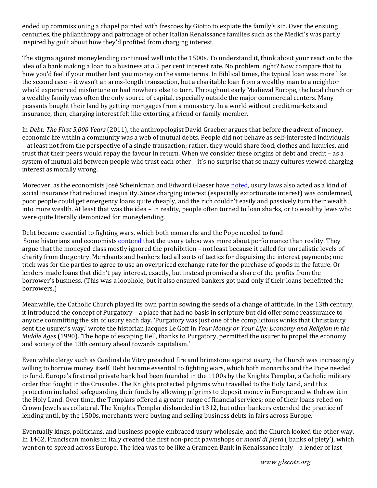ended up commissioning a chapel painted with frescoes by Giotto to expiate the family's sin. Over the ensuing centuries, the philanthropy and patronage of other Italian Renaissance families such as the Medici's was partly inspired by guilt about how they'd profited from charging interest.

The stigma against moneylending continued well into the 1500s. To understand it, think about your reaction to the idea of a bank making a loan to a business at a 5 per cent interest rate. No problem, right? Now compare that to how you'd feel if your mother lent you money on the same terms. In Biblical times, the typical loan was more like the second case – it wasn't an arms-length transaction, but a charitable loan from a wealthy man to a neighbor who'd experienced misfortune or had nowhere else to turn. Throughout early Medieval Europe, the local church or a wealthy family was often the only source of capital, especially outside the major commercial centers. Many peasants bought their land by getting mortgages from a monastery. In a world without credit markets and insurance, then, charging interest felt like extorting a friend or family member.

In *Debt: The First* 5,000 *Years* (2011), the anthropologist David Graeber argues that before the advent of money, economic life within a community was a web of mutual debts. People did not behave as self-interested individuals – at least not from the perspective of a single transaction; rather, they would share food, clothes and luxuries, and trust that their peers would repay the favour in return. When we consider these origins of debt and credit – as a system of mutual aid between people who trust each other – it's no surprise that so many cultures viewed charging interest as morally wrong.

Moreover, as the economists José Scheinkman and Edward Glaeser have noted, usury laws also acted as a kind of social insurance that reduced inequality. Since charging interest (especially extortionate interest) was condemned, poor people could get emergency loans quite cheaply, and the rich couldn't easily and passively turn their wealth into more wealth. At least that was the idea – in reality, people often turned to loan sharks, or to wealthy Jews who were quite literally demonized for moneylending.

Debt became essential to fighting wars, which both monarchs and the Pope needed to fund Some historians and economists *contend* that the usury taboo was more about performance than reality. They argue that the moneyed class mostly ignored the prohibition – not least because it called for unrealistic levels of charity from the gentry. Merchants and bankers had all sorts of tactics for disguising the interest payments; one trick was for the parties to agree to use an overpriced exchange rate for the purchase of goods in the future. Or lenders made loans that didn't pay interest, exactly, but instead promised a share of the profits from the borrower's business. (This was a loophole, but it also ensured bankers got paid only if their loans benefitted the borrowers.) 

Meanwhile, the Catholic Church played its own part in sowing the seeds of a change of attitude. In the 13th century, it introduced the concept of Purgatory – a place that had no basis in scripture but did offer some reassurance to anyone committing the sin of usury each day. 'Purgatory was just one of the complicitous winks that Christianity sent the usurer's way,' wrote the historian Jacques Le Goff in *Your Money or Your Life: Economy and Religion in the Middle Ages* (1990). 'The hope of escaping Hell, thanks to Purgatory, permitted the usurer to propel the economy and society of the 13th century ahead towards capitalism.'

Even while clergy such as Cardinal de Vitry preached fire and brimstone against usury, the Church was increasingly willing to borrow money itself. Debt became essential to fighting wars, which both monarchs and the Pope needed to fund. Europe's first real private bank had been founded in the 1100s by the Knights Templar, a Catholic military order that fought in the Crusades. The Knights protected pilgrims who travelled to the Holy Land, and this protection included safeguarding their funds by allowing pilgrims to deposit money in Europe and withdraw it in the Holy Land. Over time, the Templars offered a greater range of financial services; one of their loans relied on Crown Jewels as collateral. The Knights Templar disbanded in 1312, but other bankers extended the practice of lending until, by the 1500s, merchants were buying and selling business debts in fairs across Europe.

Eventually kings, politicians, and business people embraced usury wholesale, and the Church looked the other way. In 1462, Franciscan monks in Italy created the first non-profit pawnshops or *monti di pietà* ('banks of piety'), which went on to spread across Europe. The idea was to be like a Grameen Bank in Renaissance Italy - a lender of last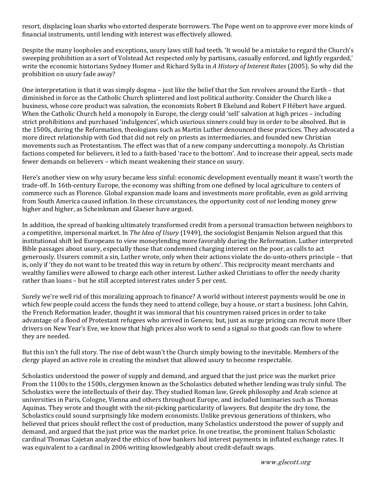resort, displacing loan sharks who extorted desperate borrowers. The Pope went on to approve ever more kinds of financial instruments, until lending with interest was effectively allowed.

Despite the many loopholes and exceptions, usury laws still had teeth. 'It would be a mistake to regard the Church's sweeping prohibition as a sort of Volstead Act respected only by partisans, casually enforced, and lightly regarded,' write the economic historians Sydney Homer and Richard Sylla in *A History of Interest Rates* (2005). So why did the prohibition on usury fade away?

One interpretation is that it was simply dogma – just like the belief that the Sun revolves around the Earth – that diminished in force as the Catholic Church splintered and lost political authority. Consider the Church like a business, whose core product was salvation, the economists Robert B Ekelund and Robert F Hébert have argued. When the Catholic Church held a monopoly in Europe, the clergy could 'sell' salvation at high prices – including strict prohibitions and purchased 'indulgences', which usurious sinners could buy in order to be absolved. But in the 1500s, during the Reformation, theologians such as Martin Luther denounced these practices. They advocated a more direct relationship with God that did not rely on priests as intermediaries, and founded new Christian movements such as Protestantism. The effect was that of a new company undercutting a monopoly. As Christian factions competed for believers, it led to a faith-based 'race to the bottom'. And to increase their appeal, sects made fewer demands on believers - which meant weakening their stance on usury.

Here's another view on why usury became less sinful: economic development eventually meant it wasn't worth the trade-off. In 16th-century Europe, the economy was shifting from one defined by local agriculture to centers of commerce such as Florence. Global expansion made loans and investments more profitable, even as gold arriving from South America caused inflation. In these circumstances, the opportunity cost of *not* lending money grew higher and higher, as Scheinkman and Glaeser have argued.

In addition, the spread of banking ultimately transformed credit from a personal transaction between neighbors to a competitive, impersonal market. In *The Idea of Usury* (1949), the sociologist Benjamin Nelson argued that this institutional shift led Europeans to view moneylending more favorably during the Reformation. Luther interpreted Bible passages about usury, especially those that condemned charging interest on the poor, as calls to act generously. Usurers commit a sin, Luther wrote, only when their actions violate the do-unto-others principle – that is, only if 'they do not want to be treated this way in return by others'. This reciprocity meant merchants and wealthy families were allowed to charge each other interest. Luther asked Christians to offer the needy charity rather than loans - but he still accepted interest rates under 5 per cent.

Surely we're well rid of this moralizing approach to finance? A world without interest payments would be one in which few people could access the funds they need to attend college, buy a house, or start a business. John Calvin, the French Reformation leader, thought it was immoral that his countrymen raised prices in order to take advantage of a flood of Protestant refugees who arrived in Geneva; but, just as surge pricing can recruit more Uber drivers on New Year's Eve, we know that high prices also work to send a signal so that goods can flow to where they are needed.

But this isn't the full story. The rise of debt wasn't the Church simply bowing to the inevitable. Members of the clergy played an active role in creating the mindset that allowed usury to become respectable.

Scholastics understood the power of supply and demand, and argued that the just price was the market price From the 1100s to the 1500s, clergymen known as the Scholastics debated whether lending was truly sinful. The Scholastics were the intellectuals of their day. They studied Roman law, Greek philosophy and Arab science at universities in Paris, Cologne, Vienna and others throughout Europe, and included luminaries such as Thomas Aquinas. They wrote and thought with the nit-picking particularity of lawyers. But despite the dry tone, the Scholastics could sound surprisingly like modern economists. Unlike previous generations of thinkers, who believed that prices should reflect the cost of production, many Scholastics understood the power of supply and demand, and argued that the just price was the market price. In one treatise, the prominent Italian Scholastic cardinal Thomas Cajetan analyzed the ethics of how bankers hid interest payments in inflated exchange rates. It was equivalent to a cardinal in 2006 writing knowledgeably about credit-default swaps.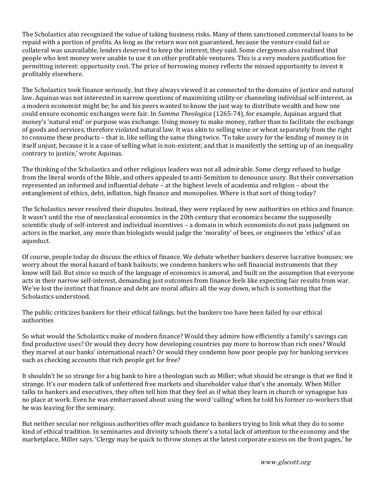The Scholastics also recognized the value of taking business risks. Many of them sanctioned commercial loans to be repaid with a portion of profits. As long as the return was not guaranteed, because the venture could fail or collateral was unavailable, lenders deserved to keep the interest, they said. Some clergymen also realized that people who lent money were unable to use it on other profitable ventures. This is a very modern justification for permitting interest: opportunity cost. The price of borrowing money reflects the missed opportunity to invest it profitably elsewhere.

The Scholastics took finance seriously, but they always viewed it as connected to the domains of justice and natural law. Aquinas was not interested in narrow questions of maximizing utility or channeling individual self-interest, as a modern economist might be; he and his peers wanted to know the just way to distribute wealth and how one could ensure economic exchanges were fair. In *Summa Theologica* (1265-74), for example, Aquinas argued that money's 'natural end' or purpose was exchange. Using money to make money, rather than to facilitate the exchange of goods and services, therefore violated natural law. It was akin to selling wine or wheat separately from the right to consume these products – that is, like selling the same thing twice. To take usury for the lending of money is in itself unjust, because it is a case of selling what is non-existent; and that is manifestly the setting up of an inequality contrary to justice,' wrote Aquinas.

The thinking of the Scholastics and other religious leaders was not all admirable. Some clergy refused to budge from the literal words of the Bible, and others appealed to anti-Semitism to denounce usury. But their conversation represented an informed and influential debate – at the highest levels of academia and religion – about the entanglement of ethics, debt, inflation, high finance and monopolies. Where is that sort of thing today?

The Scholastics never resolved their disputes. Instead, they were replaced by new authorities on ethics and finance. It wasn't until the rise of neoclassical economics in the 20th century that economics became the supposedly scientific study of self-interest and individual incentives – a domain in which economists do not pass judgment on actors in the market, any more than biologists would judge the 'morality' of bees, or engineers the 'ethics' of an aqueduct. 

Of course, people today do discuss the ethics of finance. We debate whether bankers deserve lucrative bonuses; we worry about the moral hazard of bank bailouts; we condemn bankers who sell financial instruments that they know will fail. But since so much of the language of economics is amoral, and built on the assumption that everyone acts in their narrow self-interest, demanding just outcomes from finance feels like expecting fair results from war. We've lost the instinct that finance and debt are moral affairs all the way down, which is something that the Scholastics understood.

The public criticizes bankers for their ethical failings, but the bankers too have been failed by our ethical authorities 

So what would the Scholastics make of modern finance? Would they admire how efficiently a family's savings can find productive uses? Or would they decry how developing countries pay more to borrow than rich ones? Would they marvel at our banks' international reach? Or would they condemn how poor people pay for banking services such as checking accounts that rich people get for free?

It shouldn't be so strange for a big bank to hire a theologian such as Miller; what should be strange is that *we* find it strange. It's our modern talk of unfettered free markets and shareholder value that's the anomaly. When Miller talks to bankers and executives, they often tell him that they feel as if what they learn in church or synagogue has no place at work. Even he was embarrassed about using the word 'calling' when he told his former co-workers that he was leaving for the seminary.

But neither secular nor religious authorities offer much guidance to bankers trying to link what they do to some kind of ethical tradition. In seminaries and divinity schools there's a total lack of attention to the economy and the marketplace, Miller says. 'Clergy may be quick to throw stones at the latest corporate excess on the front pages,' he